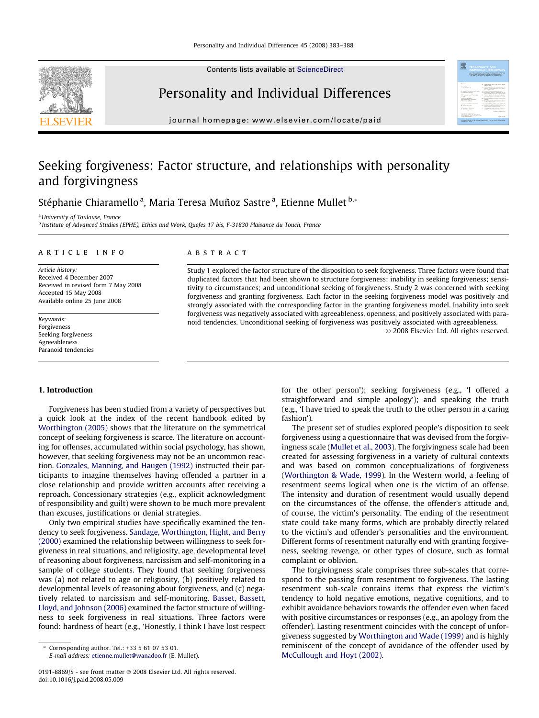Contents lists available at [ScienceDirect](http://www.sciencedirect.com/science/journal/01918869)

# Personality and Individual Differences

journal homepage: [www.elsevier.com/locate/paid](http://www.elsevier.com/locate/paid)

## Seeking forgiveness: Factor structure, and relationships with personality and forgivingness

Stéphanie Chiaramello<sup>a</sup>, Maria Teresa Muñoz Sastre<sup>a</sup>, Etienne Mullet <sup>b,</sup>\*

<sup>a</sup> University of Toulouse, France

<sup>b</sup> Institute of Advanced Studies (EPHE), Ethics and Work, Quefes 17 bis, F-31830 Plaisance du Touch, France

## article info

Article history: Received 4 December 2007 Received in revised form 7 May 2008 Accepted 15 May 2008 Available online 25 June 2008

Keywords: Forgiveness Seeking forgiveness Agreeableness Paranoid tendencies

#### **ABSTRACT**

Study 1 explored the factor structure of the disposition to seek forgiveness. Three factors were found that duplicated factors that had been shown to structure forgiveness: inability in seeking forgiveness; sensitivity to circumstances; and unconditional seeking of forgiveness. Study 2 was concerned with seeking forgiveness and granting forgiveness. Each factor in the seeking forgiveness model was positively and strongly associated with the corresponding factor in the granting forgiveness model. Inability into seek forgiveness was negatively associated with agreeableness, openness, and positively associated with paranoid tendencies. Unconditional seeking of forgiveness was positively associated with agreeableness.

- 2008 Elsevier Ltd. All rights reserved.

**MONTO ANAS PRODUC** 

#### 1. Introduction

Forgiveness has been studied from a variety of perspectives but a quick look at the index of the recent handbook edited by [Worthington \(2005\)](#page--1-0) shows that the literature on the symmetrical concept of seeking forgiveness is scarce. The literature on accounting for offenses, accumulated within social psychology, has shown, however, that seeking forgiveness may not be an uncommon reaction. [Gonzales, Manning, and Haugen \(1992\)](#page--1-0) instructed their participants to imagine themselves having offended a partner in a close relationship and provide written accounts after receiving a reproach. Concessionary strategies (e.g., explicit acknowledgment of responsibility and guilt) were shown to be much more prevalent than excuses, justifications or denial strategies.

Only two empirical studies have specifically examined the tendency to seek forgiveness. [Sandage, Worthington, Hight, and Berry](#page--1-0) [\(2000\)](#page--1-0) examined the relationship between willingness to seek forgiveness in real situations, and religiosity, age, developmental level of reasoning about forgiveness, narcissism and self-monitoring in a sample of college students. They found that seeking forgiveness was (a) not related to age or religiosity, (b) positively related to developmental levels of reasoning about forgiveness, and (c) negatively related to narcissism and self-monitoring. [Basset, Bassett,](#page--1-0) [Lloyd, and Johnson \(2006\)](#page--1-0) examined the factor structure of willingness to seek forgiveness in real situations. Three factors were found: hardness of heart (e.g., 'Honestly, I think I have lost respect

Corresponding author. Tel.: +33 5 61 07 53 01.

for the other person'); seeking forgiveness (e.g., 'I offered a straightforward and simple apology'); and speaking the truth (e.g., 'I have tried to speak the truth to the other person in a caring fashion').

The present set of studies explored people's disposition to seek forgiveness using a questionnaire that was devised from the forgivingness scale [\(Mullet et al., 2003\)](#page--1-0). The forgivingness scale had been created for assessing forgiveness in a variety of cultural contexts and was based on common conceptualizations of forgiveness ([Worthington & Wade, 1999\)](#page--1-0). In the Western world, a feeling of resentment seems logical when one is the victim of an offense. The intensity and duration of resentment would usually depend on the circumstances of the offense, the offender's attitude and, of course, the victim's personality. The ending of the resentment state could take many forms, which are probably directly related to the victim's and offender's personalities and the environment. Different forms of resentment naturally end with granting forgiveness, seeking revenge, or other types of closure, such as formal complaint or oblivion.

The forgivingness scale comprises three sub-scales that correspond to the passing from resentment to forgiveness. The lasting resentment sub-scale contains items that express the victim's tendency to hold negative emotions, negative cognitions, and to exhibit avoidance behaviors towards the offender even when faced with positive circumstances or responses (e.g., an apology from the offender). Lasting resentment coincides with the concept of unforgiveness suggested by [Worthington and Wade \(1999\)](#page--1-0) and is highly reminiscent of the concept of avoidance of the offender used by [McCullough and Hoyt \(2002\)](#page--1-0).



E-mail address: [etienne.mullet@wanadoo.fr](mailto:etienne.mullet@wanadoo.fr) (E. Mullet).

<sup>0191-8869/\$ -</sup> see front matter © 2008 Elsevier Ltd. All rights reserved. doi:10.1016/j.paid.2008.05.009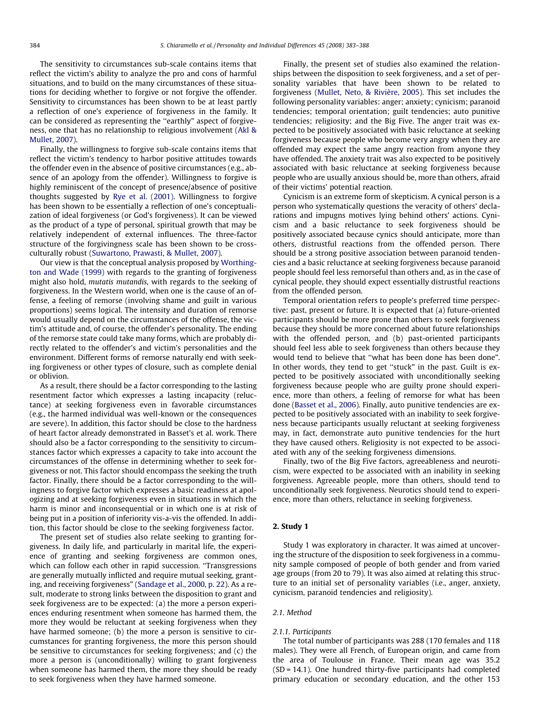The sensitivity to circumstances sub-scale contains items that reflect the victim's ability to analyze the pro and cons of harmful situations, and to build on the many circumstances of these situations for deciding whether to forgive or not forgive the offender. Sensitivity to circumstances has been shown to be at least partly a reflection of one's experience of forgiveness in the family. It can be considered as representing the ''earthly" aspect of forgiveness, one that has no relationship to religious involvement ([Akl &](#page--1-0) [Mullet, 2007\)](#page--1-0).

Finally, the willingness to forgive sub-scale contains items that reflect the victim's tendency to harbor positive attitudes towards the offender even in the absence of positive circumstances (e.g., absence of an apology from the offender). Willingness to forgive is highly reminiscent of the concept of presence/absence of positive thoughts suggested by [Rye et al. \(2001\).](#page--1-0) Willingness to forgive has been shown to be essentially a reflection of one's conceptualization of ideal forgiveness (or God's forgiveness). It can be viewed as the product of a type of personal, spiritual growth that may be relatively independent of external influences. The three-factor structure of the forgivingness scale has been shown to be crossculturally robust ([Suwartono, Prawasti, & Mullet, 2007\)](#page--1-0).

Our view is that the conceptual analysis proposed by [Worthing](#page--1-0)[ton and Wade \(1999\)](#page--1-0) with regards to the granting of forgiveness might also hold, mutatis mutandis, with regards to the seeking of forgiveness. In the Western world, when one is the cause of an offense, a feeling of remorse (involving shame and guilt in various proportions) seems logical. The intensity and duration of remorse would usually depend on the circumstances of the offense, the victim's attitude and, of course, the offender's personality. The ending of the remorse state could take many forms, which are probably directly related to the offender's and victim's personalities and the environment. Different forms of remorse naturally end with seeking forgiveness or other types of closure, such as complete denial or oblivion.

As a result, there should be a factor corresponding to the lasting resentment factor which expresses a lasting incapacity (reluctance) at seeking forgiveness even in favorable circumstances (e.g., the harmed individual was well-known or the consequences are severe). In addition, this factor should be close to the hardness of heart factor already demonstrated in Basset's et al. work. There should also be a factor corresponding to the sensitivity to circumstances factor which expresses a capacity to take into account the circumstances of the offense in determining whether to seek forgiveness or not. This factor should encompass the seeking the truth factor. Finally, there should be a factor corresponding to the willingness to forgive factor which expresses a basic readiness at apologizing and at seeking forgiveness even in situations in which the harm is minor and inconsequential or in which one is at risk of being put in a position of inferiority vis-a-vis the offended. In addition, this factor should be close to the seeking forgiveness factor.

The present set of studies also relate seeking to granting forgiveness. In daily life, and particularly in marital life, the experience of granting and seeking forgiveness are common ones, which can follow each other in rapid succession. ''Transgressions are generally mutually inflicted and require mutual seeking, granting, and receiving forgiveness" [\(Sandage et al., 2000, p. 22\)](#page--1-0). As a result, moderate to strong links between the disposition to grant and seek forgiveness are to be expected: (a) the more a person experiences enduring resentment when someone has harmed them, the more they would be reluctant at seeking forgiveness when they have harmed someone; (b) the more a person is sensitive to circumstances for granting forgiveness, the more this person should be sensitive to circumstances for seeking forgiveness; and (c) the more a person is (unconditionally) willing to grant forgiveness when someone has harmed them, the more they should be ready to seek forgiveness when they have harmed someone.

Finally, the present set of studies also examined the relationships between the disposition to seek forgiveness, and a set of personality variables that have been shown to be related to forgiveness ([Mullet, Neto, & Rivière, 2005\)](#page--1-0). This set includes the following personality variables: anger; anxiety; cynicism; paranoid tendencies; temporal orientation; guilt tendencies; auto punitive tendencies; religiosity; and the Big Five. The anger trait was expected to be positively associated with basic reluctance at seeking forgiveness because people who become very angry when they are offended may expect the same angry reaction from anyone they have offended. The anxiety trait was also expected to be positively associated with basic reluctance at seeking forgiveness because people who are usually anxious should be, more than others, afraid of their victims' potential reaction.

Cynicism is an extreme form of skepticism. A cynical person is a person who systematically questions the veracity of others' declarations and impugns motives lying behind others' actions. Cynicism and a basic reluctance to seek forgiveness should be positively associated because cynics should anticipate, more than others, distrustful reactions from the offended person. There should be a strong positive association between paranoid tendencies and a basic reluctance at seeking forgiveness because paranoid people should feel less remorseful than others and, as in the case of cynical people, they should expect essentially distrustful reactions from the offended person.

Temporal orientation refers to people's preferred time perspective: past, present or future. It is expected that (a) future-oriented participants should be more prone than others to seek forgiveness because they should be more concerned about future relationships with the offended person, and (b) past-oriented participants should feel less able to seek forgiveness than others because they would tend to believe that ''what has been done has been done". In other words, they tend to get ''stuck" in the past. Guilt is expected to be positively associated with unconditionally seeking forgiveness because people who are guilty prone should experience, more than others, a feeling of remorse for what has been done ([Basset et al., 2006\)](#page--1-0). Finally, auto punitive tendencies are expected to be positively associated with an inability to seek forgiveness because participants usually reluctant at seeking forgiveness may, in fact, demonstrate auto punitive tendencies for the hurt they have caused others. Religiosity is not expected to be associated with any of the seeking forgiveness dimensions.

Finally, two of the Big Five factors, agreeableness and neuroticism, were expected to be associated with an inability in seeking forgiveness. Agreeable people, more than others, should tend to unconditionally seek forgiveness. Neurotics should tend to experience, more than others, reluctance in seeking forgiveness.

### 2. Study 1

Study 1 was exploratory in character. It was aimed at uncovering the structure of the disposition to seek forgiveness in a community sample composed of people of both gender and from varied age groups (from 20 to 79). It was also aimed at relating this structure to an initial set of personality variables (i.e., anger, anxiety, cynicism, paranoid tendencies and religiosity).

#### 2.1. Method

#### 2.1.1. Participants

The total number of participants was 288 (170 females and 118 males). They were all French, of European origin, and came from the area of Toulouse in France. Their mean age was 35.2 (SD = 14.1). One hundred thirty-five participants had completed primary education or secondary education, and the other 153